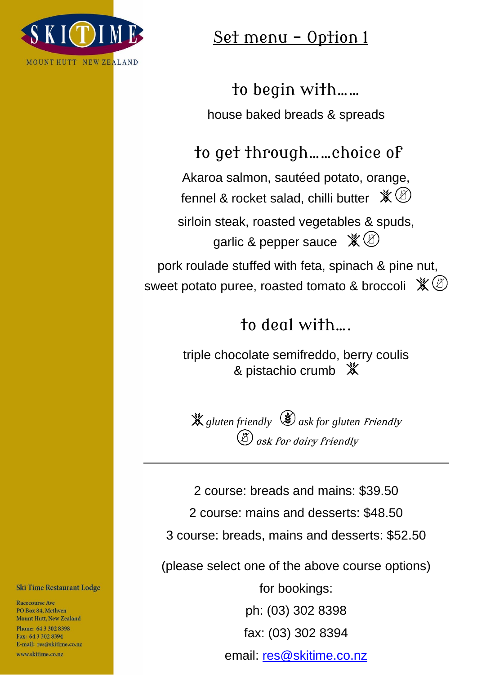

### Set menu - Option 1

to begin with…… house baked breads & spreads

to get through……choice of

Akaroa salmon, sautéed potato, orange, fennel & rocket salad, chilli butter  $\mathcal{K}(\mathcal{B})$ 

sirloin steak, roasted vegetables & spuds, garlic & pepper sauce  $\mathcal{K}(\mathcal{B})$ pork roulade stuffed with feta, spinach & pine nut,

sweet potato puree, roasted tomato & broccoli  $\mathbb{X}$  (8)

## to deal with….

triple chocolate semifreddo, berry coulis & pistachio crumb  $*$ 

*gluten friendly ask for gluten* friendly ask for dairy friendly

2 course: breads and mains: \$39.50 2 course: mains and desserts: \$48.50 3 course: breads, mains and desserts: \$52.50

(please select one of the above course options)

for bookings: ph: (03) 302 8398 fax: (03) 302 8394 email: [res@skitime.co.nz](mailto:res@skitime.co.nz)

#### **Ski Time Restaurant Lodge**

**Racecourse Ave** PO Box 84, Methven **Mount Hutt, New Zealand** 

Phone: 64 3 302 8398 Fax: 643 302 8394 E-mail: res@skitime.co.nz www.skitime.co.nz